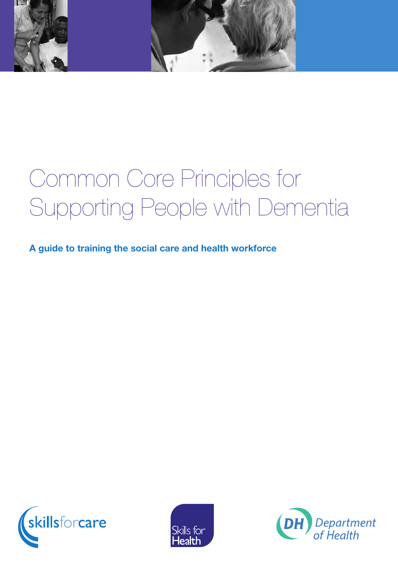

# Common Core Principles for Supporting People with Dementia

A guide to training the social care and health workforce





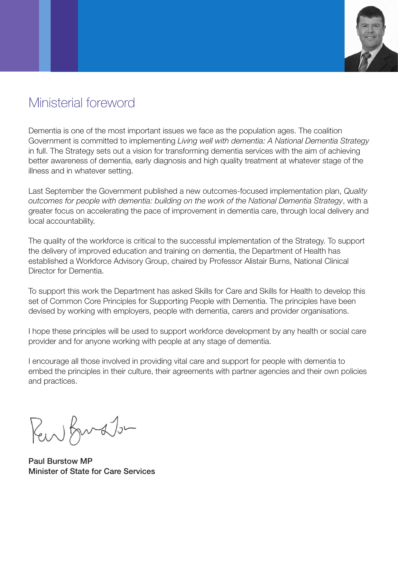

# Ministerial foreword

Dementia is one of the most important issues we face as the population ages. The coalition Government is committed to implementing *Living well with dementia: A National Dementia Strategy*  in full. The Strategy sets out a vision for transforming dementia services with the aim of achieving better awareness of dementia, early diagnosis and high quality treatment at whatever stage of the illness and in whatever setting.

Last September the Government published a new outcomes-focused implementation plan, *Quality outcomes for people with dementia: building on the work of the National Dementia Strategy*, with a greater focus on accelerating the pace of improvement in dementia care, through local delivery and local accountability.

The quality of the workforce is critical to the successful implementation of the Strategy. To support the delivery of improved education and training on dementia, the Department of Health has established a Workforce Advisory Group, chaired by Professor Alistair Burns, National Clinical Director for Dementia.

To support this work the Department has asked Skills for Care and Skills for Health to develop this set of Common Core Principles for Supporting People with Dementia. The principles have been devised by working with employers, people with dementia, carers and provider organisations.

I hope these principles will be used to support workforce development by any health or social care provider and for anyone working with people at any stage of dementia.

I encourage all those involved in providing vital care and support for people with dementia to embed the principles in their culture, their agreements with partner agencies and their own policies and practices.

Rew Burdton

Paul Burstow MP Minister of State for Care Services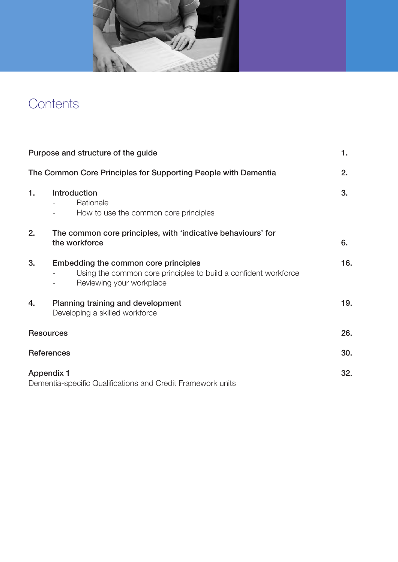

# **Contents**

|    | Purpose and structure of the guide                                                                                                  | 1.  |
|----|-------------------------------------------------------------------------------------------------------------------------------------|-----|
|    | The Common Core Principles for Supporting People with Dementia                                                                      | 2.  |
| 1. | Introduction<br>Rationale<br>How to use the common core principles                                                                  | 3.  |
| 2. | The common core principles, with 'indicative behaviours' for<br>the workforce                                                       | 6.  |
| 3. | Embedding the common core principles<br>Using the common core principles to build a confident workforce<br>Reviewing your workplace | 16. |
| 4. | Planning training and development<br>Developing a skilled workforce                                                                 | 19. |
|    | <b>Resources</b>                                                                                                                    | 26. |
|    | <b>References</b>                                                                                                                   | 30. |
|    | <b>Appendix 1</b><br>Dementia-specific Qualifications and Credit Framework units                                                    | 32. |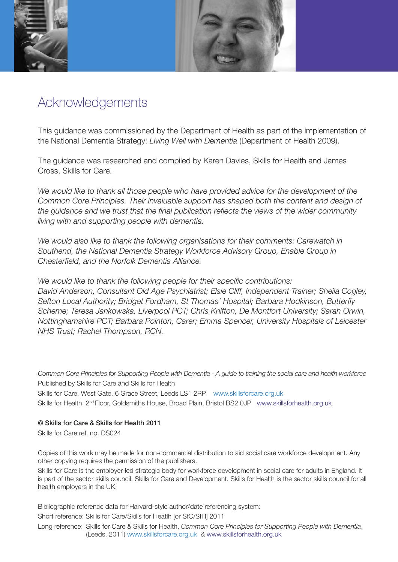

# Acknowledgements

This guidance was commissioned by the Department of Health as part of the implementation of the National Dementia Strategy: *Living Well with Dementia* (Department of Health 2009).

The guidance was researched and compiled by Karen Davies, Skills for Health and James Cross, Skills for Care.

*We would like to thank all those people who have provided advice for the development of the Common Core Principles. Their invaluable support has shaped both the content and design of the guidance and we trust that the final publication reflects the views of the wider community living with and supporting people with dementia.*

*We would also like to thank the following organisations for their comments: Carewatch in Southend, the National Dementia Strategy Workforce Advisory Group, Enable Group in Chesterfield, and the Norfolk Dementia Alliance.* 

*We would like to thank the following people for their specific contributions: David Anderson, Consultant Old Age Psychiatrist; Elsie Cliff, Independent Trainer; Sheila Cogley, Sefton Local Authority; Bridget Fordham, St Thomas' Hospital; Barbara Hodkinson, Butterfly Scheme; Teresa Jankowska, Liverpool PCT; Chris Knifton, De Montfort University; Sarah Orwin, Nottinghamshire PCT; Barbara Pointon, Carer; Emma Spencer, University Hospitals of Leicester NHS Trust; Rachel Thompson, RCN.*

*Common Core Principles for Supporting People with Dementia - A guide to training the social care and health workforce* Published by Skills for Care and Skills for Health Skills for Care, West Gate, 6 Grace Street, Leeds LS1 2RP www.skillsforcare.org.uk Skills for Health, 2<sup>nd</sup> Floor, Goldsmiths House, Broad Plain, Bristol BS2 OJP www.skillsforhealth.org.uk

### © Skills for Care & Skills for Health 2011

Skills for Care ref. no. DS024

Copies of this work may be made for non-commercial distribution to aid social care workforce development. Any other copying requires the permission of the publishers.

Skills for Care is the employer-led strategic body for workforce development in social care for adults in England. It is part of the sector skills council, Skills for Care and Development. Skills for Health is the sector skills council for all health employers in the UK.

Bibliographic reference data for Harvard-style author/date referencing system:

Short reference: Skills for Care/Skills for Heatlh [or SfC/SfH] 2011

Long reference: Skills for Care & Skills for Health, *Common Core Principles for Supporting People with Dementia*, (Leeds, 2011) www.skillsforcare.org.uk & www.skillsforhealth.org.uk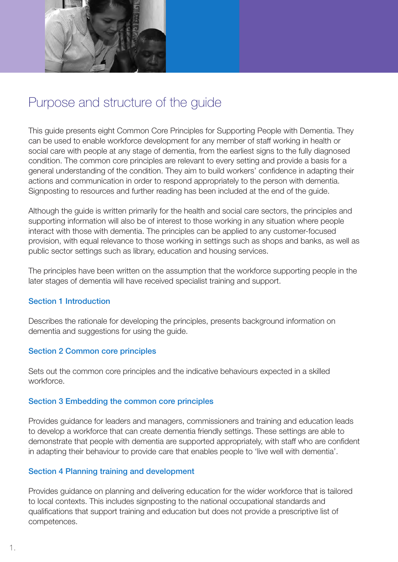

# Purpose and structure of the guide

This guide presents eight Common Core Principles for Supporting People with Dementia. They can be used to enable workforce development for any member of staff working in health or social care with people at any stage of dementia, from the earliest signs to the fully diagnosed condition. The common core principles are relevant to every setting and provide a basis for a general understanding of the condition. They aim to build workers' confidence in adapting their actions and communication in order to respond appropriately to the person with dementia. Signposting to resources and further reading has been included at the end of the guide.

Although the guide is written primarily for the health and social care sectors, the principles and supporting information will also be of interest to those working in any situation where people interact with those with dementia. The principles can be applied to any customer-focused provision, with equal relevance to those working in settings such as shops and banks, as well as public sector settings such as library, education and housing services.

The principles have been written on the assumption that the workforce supporting people in the later stages of dementia will have received specialist training and support.

### Section 1 Introduction

Describes the rationale for developing the principles, presents background information on dementia and suggestions for using the guide.

### Section 2 Common core principles

Sets out the common core principles and the indicative behaviours expected in a skilled workforce.

### Section 3 Embedding the common core principles

Provides guidance for leaders and managers, commissioners and training and education leads to develop a workforce that can create dementia friendly settings. These settings are able to demonstrate that people with dementia are supported appropriately, with staff who are confident in adapting their behaviour to provide care that enables people to 'live well with dementia'.

### Section 4 Planning training and development

Provides guidance on planning and delivering education for the wider workforce that is tailored to local contexts. This includes signposting to the national occupational standards and qualifications that support training and education but does not provide a prescriptive list of competences.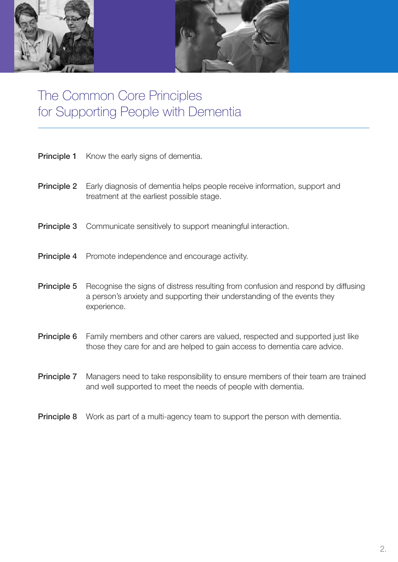

# The Common Core Principles for Supporting People with Dementia

- **Principle 1** Know the early signs of dementia.
- **Principle 2** Early diagnosis of dementia helps people receive information, support and treatment at the earliest possible stage.
- **Principle 3** Communicate sensitively to support meaningful interaction.
- **Principle 4** Promote independence and encourage activity.
- **Principle 5** Recognise the signs of distress resulting from confusion and respond by diffusing a person's anxiety and supporting their understanding of the events they experience.
- **Principle 6** Family members and other carers are valued, respected and supported just like those they care for and are helped to gain access to dementia care advice.
- **Principle 7** Managers need to take responsibility to ensure members of their team are trained and well supported to meet the needs of people with dementia.
- **Principle 8** Work as part of a multi-agency team to support the person with dementia.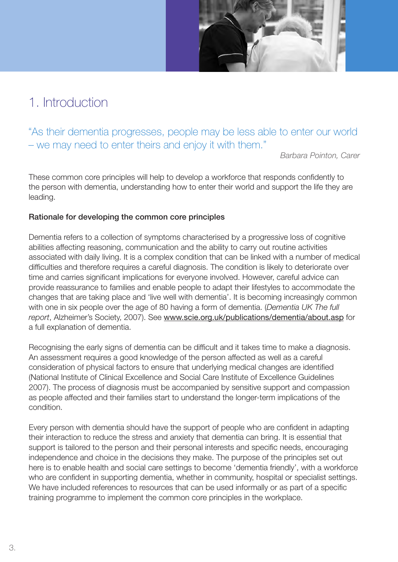

# 1. Introduction

"As their dementia progresses, people may be less able to enter our world – we may need to enter theirs and enjoy it with them."

*Barbara Pointon, Carer*

These common core principles will help to develop a workforce that responds confidently to the person with dementia, understanding how to enter their world and support the life they are leading.

### Rationale for developing the common core principles

Dementia refers to a collection of symptoms characterised by a progressive loss of cognitive abilities affecting reasoning, communication and the ability to carry out routine activities associated with daily living. It is a complex condition that can be linked with a number of medical difficulties and therefore requires a careful diagnosis. The condition is likely to deteriorate over time and carries significant implications for everyone involved. However, careful advice can provide reassurance to families and enable people to adapt their lifestyles to accommodate the changes that are taking place and 'live well with dementia'. It is becoming increasingly common with one in six people over the age of 80 having a form of dementia. (*Dementia UK The full report*, Alzheimer's Society, 2007). See www.scie.org.uk/publications/dementia/about.asp for a full explanation of dementia.

Recognising the early signs of dementia can be difficult and it takes time to make a diagnosis. An assessment requires a good knowledge of the person affected as well as a careful consideration of physical factors to ensure that underlying medical changes are identified (National Institute of Clinical Excellence and Social Care Institute of Excellence Guidelines 2007). The process of diagnosis must be accompanied by sensitive support and compassion as people affected and their families start to understand the longer-term implications of the condition.

Every person with dementia should have the support of people who are confident in adapting their interaction to reduce the stress and anxiety that dementia can bring. It is essential that support is tailored to the person and their personal interests and specific needs, encouraging independence and choice in the decisions they make. The purpose of the principles set out here is to enable health and social care settings to become 'dementia friendly', with a workforce who are confident in supporting dementia, whether in community, hospital or specialist settings. We have included references to resources that can be used informally or as part of a specific training programme to implement the common core principles in the workplace.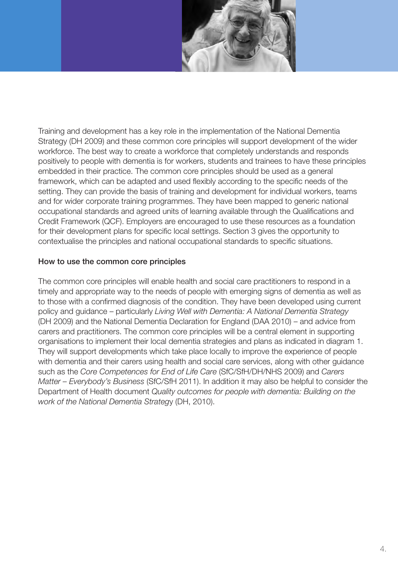

Training and development has a key role in the implementation of the National Dementia Strategy (DH 2009) and these common core principles will support development of the wider workforce. The best way to create a workforce that completely understands and responds positively to people with dementia is for workers, students and trainees to have these principles embedded in their practice. The common core principles should be used as a general framework, which can be adapted and used flexibly according to the specific needs of the setting. They can provide the basis of training and development for individual workers, teams and for wider corporate training programmes. They have been mapped to generic national occupational standards and agreed units of learning available through the Qualifications and Credit Framework (QCF). Employers are encouraged to use these resources as a foundation for their development plans for specific local settings. Section 3 gives the opportunity to contextualise the principles and national occupational standards to specific situations.

### How to use the common core principles

The common core principles will enable health and social care practitioners to respond in a timely and appropriate way to the needs of people with emerging signs of dementia as well as to those with a confirmed diagnosis of the condition. They have been developed using current policy and guidance – particularly *Living Well with Dementia: A National Dementia Strategy* (DH 2009) and the National Dementia Declaration for England (DAA 2010) – and advice from carers and practitioners. The common core principles will be a central element in supporting organisations to implement their local dementia strategies and plans as indicated in diagram 1. They will support developments which take place locally to improve the experience of people with dementia and their carers using health and social care services, along with other guidance such as the *Core Competences for End of Life Care* (SfC/SfH/DH/NHS 2009) and *Carers Matter – Everybody's Business* (SfC/SfH 2011). In addition it may also be helpful to consider the Department of Health document *Quality outcomes for people with dementia: Building on the work of the National Dementia Strateg*y (DH, 2010).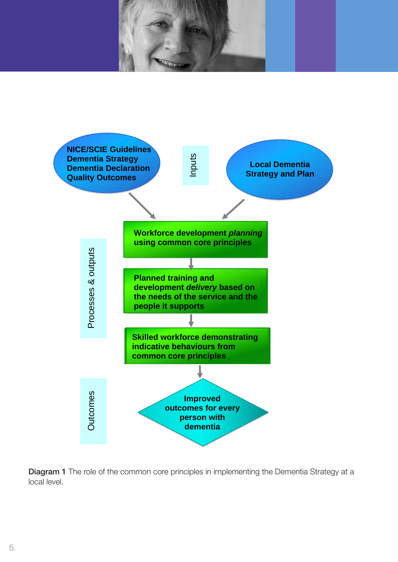



Diagram 1 The role of the common core principles in implementing the Dementia Strategy at a local level.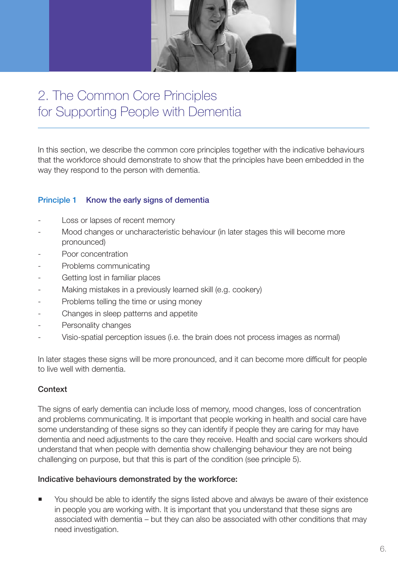

# 2. The Common Core Principles for Supporting People with Dementia

In this section, we describe the common core principles together with the indicative behaviours that the workforce should demonstrate to show that the principles have been embedded in the way they respond to the person with dementia.

### Principle 1 Know the early signs of dementia

- Loss or lapses of recent memory
- Mood changes or uncharacteristic behaviour (in later stages this will become more pronounced)
- Poor concentration
- Problems communicating
- Getting lost in familiar places
- Making mistakes in a previously learned skill (e.g. cookery)
- Problems telling the time or using money
- Changes in sleep patterns and appetite
- Personality changes
- Visio-spatial perception issues (i.e. the brain does not process images as normal)

In later stages these signs will be more pronounced, and it can become more difficult for people to live well with dementia.

### **Context**

The signs of early dementia can include loss of memory, mood changes, loss of concentration and problems communicating. It is important that people working in health and social care have some understanding of these signs so they can identify if people they are caring for may have dementia and need adjustments to the care they receive. Health and social care workers should understand that when people with dementia show challenging behaviour they are not being challenging on purpose, but that this is part of the condition (see principle 5).

### Indicative behaviours demonstrated by the workforce:

■ You should be able to identify the signs listed above and always be aware of their existence in people you are working with. It is important that you understand that these signs are associated with dementia – but they can also be associated with other conditions that may need investigation.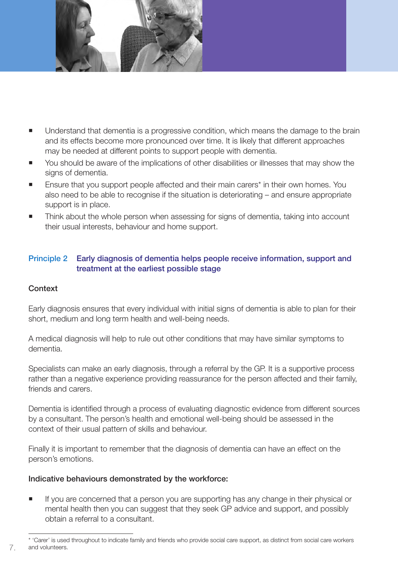

- Understand that dementia is a progressive condition, which means the damage to the brain and its effects become more pronounced over time. It is likely that different approaches may be needed at different points to support people with dementia.
- You should be aware of the implications of other disabilities or illnesses that may show the signs of dementia.
- Ensure that you support people affected and their main carers\* in their own homes. You also need to be able to recognise if the situation is deteriorating – and ensure appropriate support is in place.
- Think about the whole person when assessing for signs of dementia, taking into account their usual interests, behaviour and home support.

### Principle 2 Early diagnosis of dementia helps people receive information, support and treatment at the earliest possible stage

### **Context**

Early diagnosis ensures that every individual with initial signs of dementia is able to plan for their short, medium and long term health and well-being needs.

A medical diagnosis will help to rule out other conditions that may have similar symptoms to dementia.

Specialists can make an early diagnosis, through a referral by the GP. It is a supportive process rather than a negative experience providing reassurance for the person affected and their family, friends and carers.

Dementia is identified through a process of evaluating diagnostic evidence from different sources by a consultant. The person's health and emotional well-being should be assessed in the context of their usual pattern of skills and behaviour.

Finally it is important to remember that the diagnosis of dementia can have an effect on the person's emotions.

### Indicative behaviours demonstrated by the workforce:

 If you are concerned that a person you are supporting has any change in their physical or mental health then you can suggest that they seek GP advice and support, and possibly obtain a referral to a consultant.

<sup>\* &#</sup>x27;Carer' is used throughout to indicate family and friends who provide social care support, as distinct from social care workers 7. and volunteers.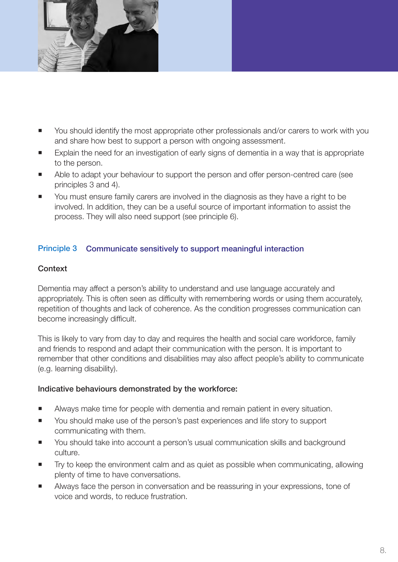

- You should identify the most appropriate other professionals and/or carers to work with you and share how best to support a person with ongoing assessment.
- Explain the need for an investigation of early signs of dementia in a way that is appropriate to the person.
- Able to adapt your behaviour to support the person and offer person-centred care (see principles 3 and 4).
- You must ensure family carers are involved in the diagnosis as they have a right to be involved. In addition, they can be a useful source of important information to assist the process. They will also need support (see principle 6).

### Principle 3 Communicate sensitively to support meaningful interaction

### Context

Dementia may affect a person's ability to understand and use language accurately and appropriately. This is often seen as difficulty with remembering words or using them accurately, repetition of thoughts and lack of coherence. As the condition progresses communication can become increasingly difficult.

This is likely to vary from day to day and requires the health and social care workforce, family and friends to respond and adapt their communication with the person. It is important to remember that other conditions and disabilities may also affect people's ability to communicate (e.g. learning disability).

### Indicative behaviours demonstrated by the workforce:

- Always make time for people with dementia and remain patient in every situation.
- You should make use of the person's past experiences and life story to support communicating with them.
- You should take into account a person's usual communication skills and background culture.
- Try to keep the environment calm and as quiet as possible when communicating, allowing plenty of time to have conversations.
- Always face the person in conversation and be reassuring in your expressions, tone of voice and words, to reduce frustration.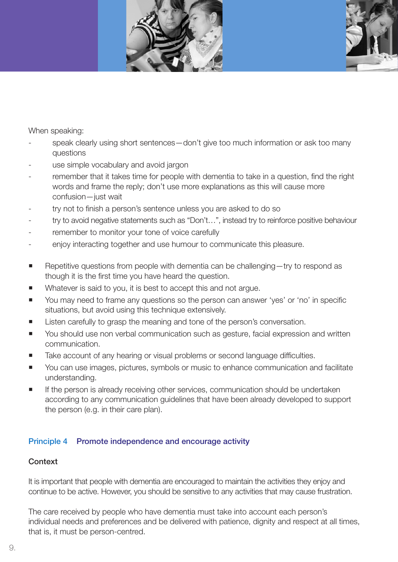



When speaking:

- speak clearly using short sentences don't give too much information or ask too many questions
- use simple vocabulary and avoid jargon
- remember that it takes time for people with dementia to take in a question, find the right words and frame the reply; don't use more explanations as this will cause more confusion—just wait
- try not to finish a person's sentence unless you are asked to do so
- try to avoid negative statements such as "Don't...", instead try to reinforce positive behaviour
- remember to monitor your tone of voice carefully
- enjoy interacting together and use humour to communicate this pleasure.
- Repetitive questions from people with dementia can be challenging—try to respond as though it is the first time you have heard the question.
- Whatever is said to you, it is best to accept this and not argue.
- You may need to frame any questions so the person can answer 'yes' or 'no' in specific situations, but avoid using this technique extensively.
- **EXECT** Listen carefully to grasp the meaning and tone of the person's conversation.
- You should use non verbal communication such as gesture, facial expression and written communication.
- Take account of any hearing or visual problems or second language difficulties.
- You can use images, pictures, symbols or music to enhance communication and facilitate understanding.
- **If the person is already receiving other services, communication should be undertaken** according to any communication guidelines that have been already developed to support the person (e.g. in their care plan).

### Principle 4 Promote independence and encourage activity

### **Context**

It is important that people with dementia are encouraged to maintain the activities they enjoy and continue to be active. However, you should be sensitive to any activities that may cause frustration.

The care received by people who have dementia must take into account each person's individual needs and preferences and be delivered with patience, dignity and respect at all times, that is, it must be person-centred.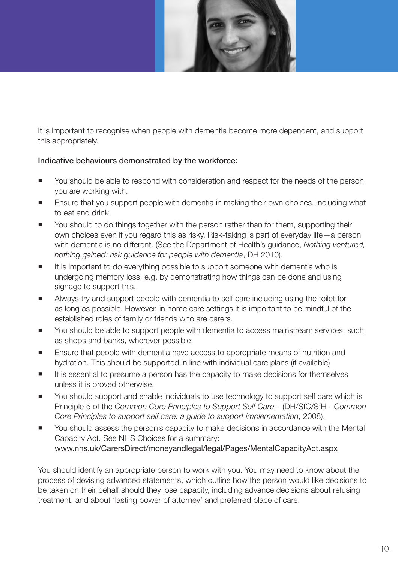

It is important to recognise when people with dementia become more dependent, and support this appropriately.

### Indicative behaviours demonstrated by the workforce:

- You should be able to respond with consideration and respect for the needs of the person you are working with.
- **Ensure that you support people with dementia in making their own choices, including what** to eat and drink.
- $\blacksquare$  You should to do things together with the person rather than for them, supporting their own choices even if you regard this as risky. Risk-taking is part of everyday life—a person with dementia is no different. (See the Department of Health's guidance, *Nothing ventured, nothing gained: risk guidance for people with dementia*, DH 2010).
- It is important to do everything possible to support someone with dementia who is undergoing memory loss, e.g. by demonstrating how things can be done and using signage to support this.
- **Always try and support people with dementia to self care including using the toilet for** as long as possible. However, in home care settings it is important to be mindful of the established roles of family or friends who are carers.
- You should be able to support people with dementia to access mainstream services, such as shops and banks, wherever possible.
- Ensure that people with dementia have access to appropriate means of nutrition and hydration. This should be supported in line with individual care plans (if available)
- It is essential to presume a person has the capacity to make decisions for themselves unless it is proved otherwise.
- You should support and enable individuals to use technology to support self care which is Principle 5 of the *Common Core Principles to Support Self Care* – (DH/SfC/SfH - *Common Core Principles to support self care: a guide to support implementation*, 2008).
- You should assess the person's capacity to make decisions in accordance with the Mental Capacity Act. See NHS Choices for a summary: www.nhs.uk/CarersDirect/moneyandlegal/legal/Pages/MentalCapacityAct.aspx

You should identify an appropriate person to work with you. You may need to know about the process of devising advanced statements, which outline how the person would like decisions to be taken on their behalf should they lose capacity, including advance decisions about refusing treatment, and about 'lasting power of attorney' and preferred place of care.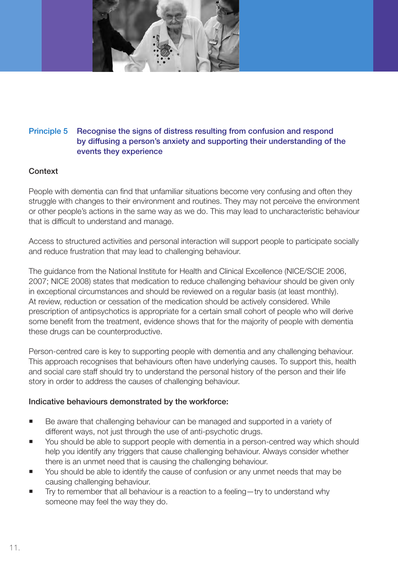

### Principle 5 Recognise the signs of distress resulting from confusion and respond by diffusing a person's anxiety and supporting their understanding of the events they experience

### **Context**

People with dementia can find that unfamiliar situations become very confusing and often they struggle with changes to their environment and routines. They may not perceive the environment or other people's actions in the same way as we do. This may lead to uncharacteristic behaviour that is difficult to understand and manage.

Access to structured activities and personal interaction will support people to participate socially and reduce frustration that may lead to challenging behaviour.

The guidance from the National Institute for Health and Clinical Excellence (NICE/SCIE 2006, 2007; NICE 2008) states that medication to reduce challenging behaviour should be given only in exceptional circumstances and should be reviewed on a regular basis (at least monthly). At review, reduction or cessation of the medication should be actively considered. While prescription of antipsychotics is appropriate for a certain small cohort of people who will derive some benefit from the treatment, evidence shows that for the majority of people with dementia these drugs can be counterproductive.

Person-centred care is key to supporting people with dementia and any challenging behaviour. This approach recognises that behaviours often have underlying causes. To support this, health and social care staff should try to understand the personal history of the person and their life story in order to address the causes of challenging behaviour.

### Indicative behaviours demonstrated by the workforce:

- Be aware that challenging behaviour can be managed and supported in a variety of different ways, not just through the use of anti-psychotic drugs.
- You should be able to support people with dementia in a person-centred way which should help you identify any triggers that cause challenging behaviour. Always consider whether there is an unmet need that is causing the challenging behaviour.
- You should be able to identify the cause of confusion or any unmet needs that may be causing challenging behaviour.
- Try to remember that all behaviour is a reaction to a feeling—try to understand why someone may feel the way they do.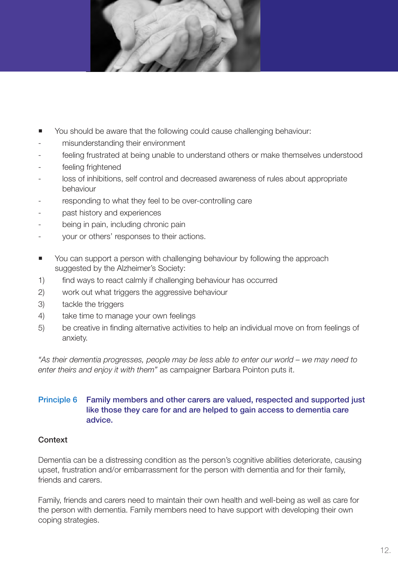

- You should be aware that the following could cause challenging behaviour:
- misunderstanding their environment
- feeling frustrated at being unable to understand others or make themselves understood
- feeling frightened
- loss of inhibitions, self control and decreased awareness of rules about appropriate behaviour
- responding to what they feel to be over-controlling care
- past history and experiences
- being in pain, including chronic pain
- your or others' responses to their actions.
- You can support a person with challenging behaviour by following the approach suggested by the Alzheimer's Society:
- 1) find ways to react calmly if challenging behaviour has occurred
- 2) work out what triggers the aggressive behaviour
- 3) tackle the triggers
- 4) take time to manage your own feelings
- 5) be creative in finding alternative activities to help an individual move on from feelings of anxiety.

*"As their dementia progresses, people may be less able to enter our world – we may need to enter theirs and enjoy it with them"* as campaigner Barbara Pointon puts it.

### Principle 6 Family members and other carers are valued, respected and supported just like those they care for and are helped to gain access to dementia care advice.

### **Context**

Dementia can be a distressing condition as the person's cognitive abilities deteriorate, causing upset, frustration and/or embarrassment for the person with dementia and for their family, friends and carers.

Family, friends and carers need to maintain their own health and well-being as well as care for the person with dementia. Family members need to have support with developing their own coping strategies.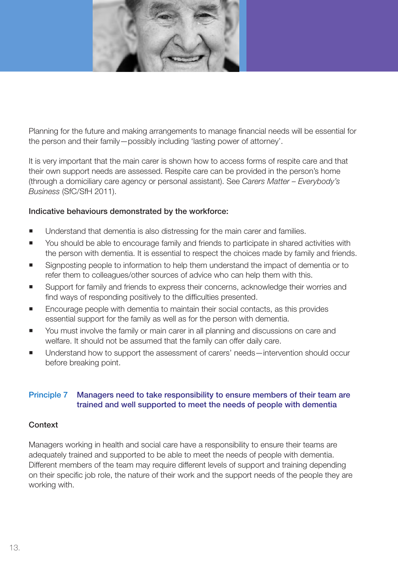

Planning for the future and making arrangements to manage financial needs will be essential for the person and their family—possibly including 'lasting power of attorney'.

It is very important that the main carer is shown how to access forms of respite care and that their own support needs are assessed. Respite care can be provided in the person's home (through a domiciliary care agency or personal assistant). See *Carers Matter – Everybody's Business* (SfC/SfH 2011).

### Indicative behaviours demonstrated by the workforce:

- Understand that dementia is also distressing for the main carer and families.
- You should be able to encourage family and friends to participate in shared activities with the person with dementia. It is essential to respect the choices made by family and friends.
- Signposting people to information to help them understand the impact of dementia or to refer them to colleagues/other sources of advice who can help them with this.
- Support for family and friends to express their concerns, acknowledge their worries and find ways of responding positively to the difficulties presented.
- Encourage people with dementia to maintain their social contacts, as this provides essential support for the family as well as for the person with dementia.
- You must involve the family or main carer in all planning and discussions on care and welfare. It should not be assumed that the family can offer daily care.
- Understand how to support the assessment of carers' needs—intervention should occur before breaking point.

### Principle 7 Managers need to take responsibility to ensure members of their team are trained and well supported to meet the needs of people with dementia

### **Context**

Managers working in health and social care have a responsibility to ensure their teams are adequately trained and supported to be able to meet the needs of people with dementia. Different members of the team may require different levels of support and training depending on their specific job role, the nature of their work and the support needs of the people they are working with.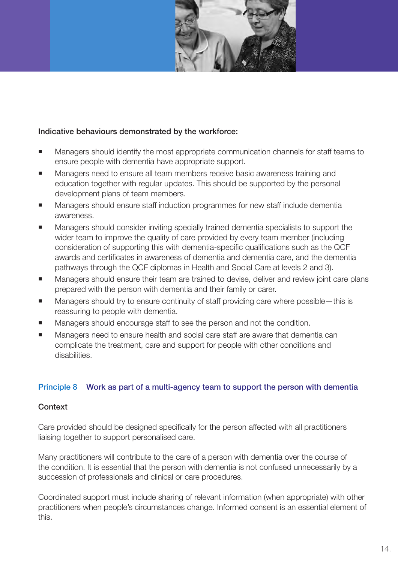

### Indicative behaviours demonstrated by the workforce:

- **Managers should identify the most appropriate communication channels for staff teams to** ensure people with dementia have appropriate support.
- **Managers need to ensure all team members receive basic awareness training and** education together with regular updates. This should be supported by the personal development plans of team members.
- **Managers should ensure staff induction programmes for new staff include dementia** awareness.
- **Managers should consider inviting specially trained dementia specialists to support the** wider team to improve the quality of care provided by every team member (including consideration of supporting this with dementia-specific qualifications such as the QCF awards and certificates in awareness of dementia and dementia care, and the dementia pathways through the QCF diplomas in Health and Social Care at levels 2 and 3).
- **Managers should ensure their team are trained to devise, deliver and review joint care plans** prepared with the person with dementia and their family or carer.
- Managers should try to ensure continuity of staff providing care where possible—this is reassuring to people with dementia.
- **Managers should encourage staff to see the person and not the condition.**
- **Managers need to ensure health and social care staff are aware that dementia can** complicate the treatment, care and support for people with other conditions and disabilities.

### Principle 8 Work as part of a multi-agency team to support the person with dementia

### Context

Care provided should be designed specifically for the person affected with all practitioners liaising together to support personalised care.

Many practitioners will contribute to the care of a person with dementia over the course of the condition. It is essential that the person with dementia is not confused unnecessarily by a succession of professionals and clinical or care procedures.

Coordinated support must include sharing of relevant information (when appropriate) with other practitioners when people's circumstances change. Informed consent is an essential element of this.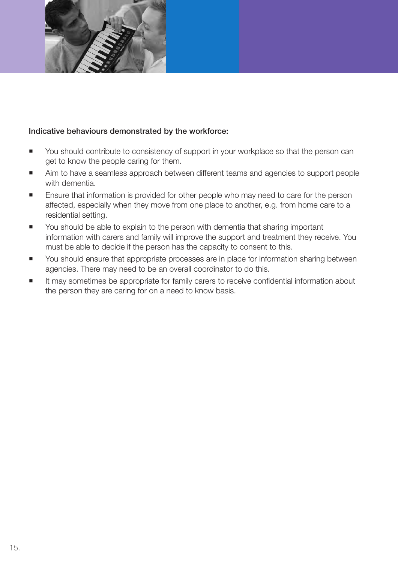

### Indicative behaviours demonstrated by the workforce:

- You should contribute to consistency of support in your workplace so that the person can get to know the people caring for them.
- Aim to have a seamless approach between different teams and agencies to support people with dementia.
- **Ensure that information is provided for other people who may need to care for the person** affected, especially when they move from one place to another, e.g. from home care to a residential setting.
- You should be able to explain to the person with dementia that sharing important information with carers and family will improve the support and treatment they receive. You must be able to decide if the person has the capacity to consent to this.
- You should ensure that appropriate processes are in place for information sharing between agencies. There may need to be an overall coordinator to do this.
- It may sometimes be appropriate for family carers to receive confidential information about the person they are caring for on a need to know basis.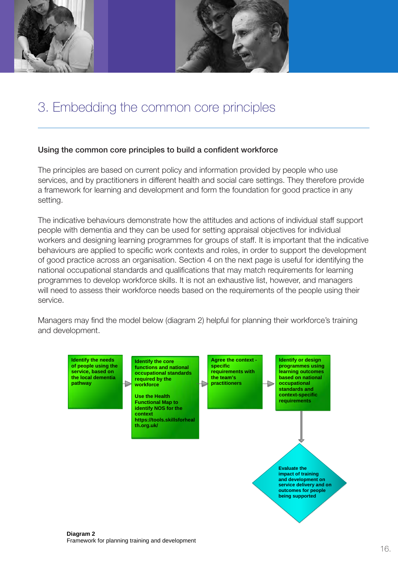

# 3. Embedding the common core principles

### Using the common core principles to build a confident workforce

The principles are based on current policy and information provided by people who use services, and by practitioners in different health and social care settings. They therefore provide a framework for learning and development and form the foundation for good practice in any setting.

The indicative behaviours demonstrate how the attitudes and actions of individual staff support people with dementia and they can be used for setting appraisal objectives for individual workers and designing learning programmes for groups of staff. It is important that the indicative behaviours are applied to specific work contexts and roles, in order to support the development senancele are applied to opcome work contexts and force, in order to cappoint the development<br>of good practice across an organisation. Section 4 on the next page is useful for identifying the national occupational standards and qualifications that may match requirements for learning wate the coordination of the meaning of the setting and the meaning material opportunities for individual programmes to develop workforce skills. It is not an exhaustive list, however, and managers will need to assess their workforce needs based on the requirements of the people using their service. **\_\_\_\_\_\_\_\_\_\_\_\_\_\_\_\_\_\_\_\_\_\_\_\_\_\_\_\_\_\_\_\_\_\_\_\_\_\_\_\_\_\_\_\_\_\_\_\_\_\_\_\_\_\_\_\_\_\_\_\_\_**  rnes to develop workforce skills. It is not an exhaustive list, nowever, and fr organisation. Section 4 below is useful for identifying the national occupation of  $\mathbb{R}^2$ 

Managers may find the model below (diagram 2) helpful for planning their workforce's training and development. The model below (diagram 2) helpful for planning the model below (diagram 2) helpful for planning and the model below (diagram 2) helpful for planning and the model below (diagram 2) helpful for planning a development.

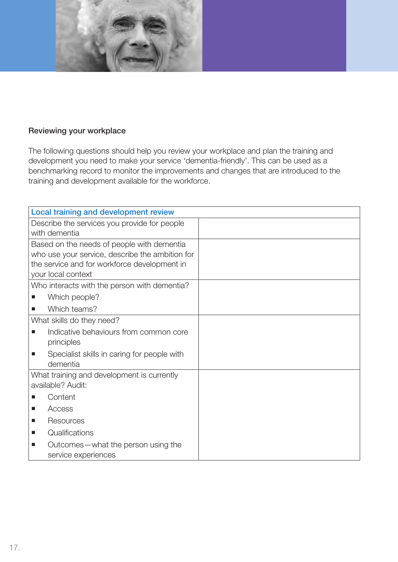

### Reviewing your workplace

The following questions should help you review your workplace and plan the training and development you need to make your service 'dementia-friendly'. This can be used as a benchmarking record to monitor the improvements and changes that are introduced to the training and development available for the workforce.

| <b>Local training and development review</b>     |  |
|--------------------------------------------------|--|
| Describe the services you provide for people     |  |
| with dementia                                    |  |
| Based on the needs of people with dementia       |  |
| who use your service, describe the ambition for  |  |
| the service and for workforce development in     |  |
| your local context                               |  |
| Who interacts with the person with dementia?     |  |
| Which people?<br>ш                               |  |
| Which teams?<br>ш                                |  |
| What skills do they need?                        |  |
| Indicative behaviours from common core<br>■      |  |
| principles                                       |  |
| Specialist skills in caring for people with<br>п |  |
| dementia                                         |  |
| What training and development is currently       |  |
| available? Audit:                                |  |
| Content                                          |  |
| Access<br>$\blacksquare$                         |  |
| Resources<br>$\blacksquare$                      |  |
| Qualifications<br>$\blacksquare$                 |  |
| Outcomes - what the person using the<br>■        |  |
| service experiences                              |  |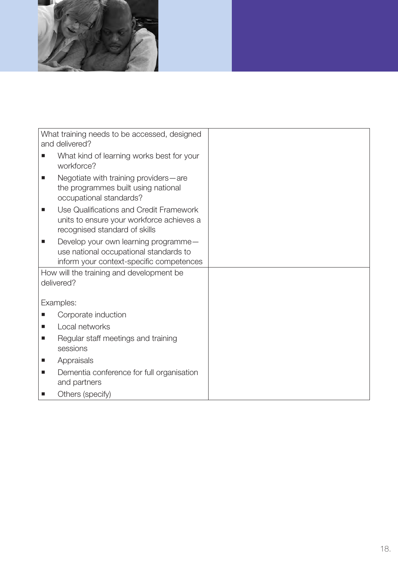

|                | What training needs to be accessed, designed<br>and delivered?                                                             |  |
|----------------|----------------------------------------------------------------------------------------------------------------------------|--|
|                | What kind of learning works best for your<br>workforce?                                                                    |  |
|                | Negotiate with training providers-are<br>the programmes built using national<br>occupational standards?                    |  |
| $\blacksquare$ | Use Qualifications and Credit Framework<br>units to ensure your workforce achieves a<br>recognised standard of skills      |  |
|                | Develop your own learning programme-<br>use national occupational standards to<br>inform your context-specific competences |  |
|                | How will the training and development be                                                                                   |  |
|                | delivered?                                                                                                                 |  |
|                | Examples:                                                                                                                  |  |
|                | Corporate induction                                                                                                        |  |
| ■              | Local networks                                                                                                             |  |
| ш              | Regular staff meetings and training<br>sessions                                                                            |  |
|                | Appraisals                                                                                                                 |  |
| ш              | Dementia conference for full organisation<br>and partners                                                                  |  |
|                | Others (specify)                                                                                                           |  |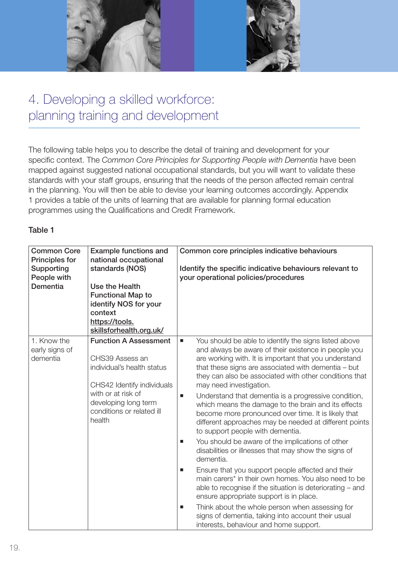

# 4. Developing a skilled workforce: planning training and development

The following table helps you to describe the detail of training and development for your specific context. The *Common Core Principles for Supporting People with Dementia* have been mapped against suggested national occupational standards, but you will want to validate these standards with your staff groups, ensuring that the needs of the person affected remain central in the planning. You will then be able to devise your learning outcomes accordingly. Appendix 1 provides a table of the units of learning that are available for planning formal education programmes using the Qualifications and Credit Framework.

### Table 1

| <b>Common Core</b><br><b>Principles for</b><br>Supporting<br>People with<br>Dementia | <b>Example functions and</b><br>national occupational<br>standards (NOS)<br>Use the Health<br><b>Functional Map to</b><br>identify NOS for your<br>context<br>https://tools.<br>skillsforhealth.org.uk/ | Common core principles indicative behaviours<br>Identify the specific indicative behaviours relevant to<br>your operational policies/procedures                                                                                                                                                                                                                                                                                                                                                                                                                                                                                                                                                                                                                                                                                                                                                                                                                                                                                                                                                                                            |
|--------------------------------------------------------------------------------------|---------------------------------------------------------------------------------------------------------------------------------------------------------------------------------------------------------|--------------------------------------------------------------------------------------------------------------------------------------------------------------------------------------------------------------------------------------------------------------------------------------------------------------------------------------------------------------------------------------------------------------------------------------------------------------------------------------------------------------------------------------------------------------------------------------------------------------------------------------------------------------------------------------------------------------------------------------------------------------------------------------------------------------------------------------------------------------------------------------------------------------------------------------------------------------------------------------------------------------------------------------------------------------------------------------------------------------------------------------------|
| 1. Know the<br>early signs of<br>dementia                                            | <b>Function A Assessment</b><br>CHS39 Assess an<br>individual's health status<br>CHS42 Identify individuals<br>with or at risk of<br>developing long term<br>conditions or related ill<br>health        | You should be able to identify the signs listed above<br>$\blacksquare$<br>and always be aware of their existence in people you<br>are working with. It is important that you understand<br>that these signs are associated with dementia - but<br>they can also be associated with other conditions that<br>may need investigation.<br>Understand that dementia is a progressive condition,<br>$\blacksquare$<br>which means the damage to the brain and its effects<br>become more pronounced over time. It is likely that<br>different approaches may be needed at different points<br>to support people with dementia.<br>You should be aware of the implications of other<br>ш<br>disabilities or illnesses that may show the signs of<br>dementia.<br>Ensure that you support people affected and their<br>п<br>main carers* in their own homes. You also need to be<br>able to recognise if the situation is deteriorating - and<br>ensure appropriate support is in place.<br>Think about the whole person when assessing for<br>ш<br>signs of dementia, taking into account their usual<br>interests, behaviour and home support. |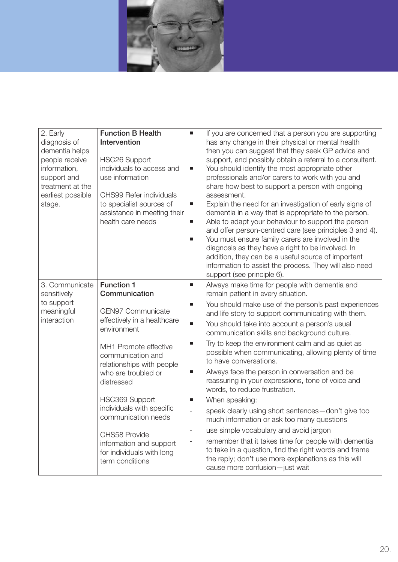

| 2. Early<br>diagnosis of<br>dementia helps<br>people receive<br>information,<br>support and<br>treatment at the<br>earliest possible<br>stage. | <b>Function B Health</b><br>Intervention<br><b>HSC26 Support</b><br>individuals to access and<br>use information<br><b>CHS99 Refer individuals</b><br>to specialist sources of<br>assistance in meeting their<br>health care needs                                                                                                                                                             | If you are concerned that a person you are supporting<br>ш<br>has any change in their physical or mental health<br>then you can suggest that they seek GP advice and<br>support, and possibly obtain a referral to a consultant.<br>You should identify the most appropriate other<br>ш<br>professionals and/or carers to work with you and<br>share how best to support a person with ongoing<br>assessment.<br>Explain the need for an investigation of early signs of<br>ш<br>dementia in a way that is appropriate to the person.<br>Able to adapt your behaviour to support the person<br>п<br>and offer person-centred care (see principles 3 and 4).<br>You must ensure family carers are involved in the<br>$\blacksquare$<br>diagnosis as they have a right to be involved. In<br>addition, they can be a useful source of important<br>information to assist the process. They will also need<br>support (see principle 6).                                                                       |
|------------------------------------------------------------------------------------------------------------------------------------------------|------------------------------------------------------------------------------------------------------------------------------------------------------------------------------------------------------------------------------------------------------------------------------------------------------------------------------------------------------------------------------------------------|-------------------------------------------------------------------------------------------------------------------------------------------------------------------------------------------------------------------------------------------------------------------------------------------------------------------------------------------------------------------------------------------------------------------------------------------------------------------------------------------------------------------------------------------------------------------------------------------------------------------------------------------------------------------------------------------------------------------------------------------------------------------------------------------------------------------------------------------------------------------------------------------------------------------------------------------------------------------------------------------------------------|
| 3. Communicate<br>sensitively<br>to support<br>meaningful<br>interaction                                                                       | <b>Function 1</b><br>Communication<br><b>GEN97 Communicate</b><br>effectively in a healthcare<br>environment<br>MH1 Promote effective<br>communication and<br>relationships with people<br>who are troubled or<br>distressed<br>HSC369 Support<br>individuals with specific<br>communication needs<br>CHS58 Provide<br>information and support<br>for individuals with long<br>term conditions | Always make time for people with dementia and<br>ш<br>remain patient in every situation.<br>You should make use of the person's past experiences<br>ш<br>and life story to support communicating with them.<br>You should take into account a person's usual<br>ш<br>communication skills and background culture.<br>Try to keep the environment calm and as quiet as<br>ш<br>possible when communicating, allowing plenty of time<br>to have conversations.<br>Always face the person in conversation and be<br>п<br>reassuring in your expressions, tone of voice and<br>words, to reduce frustration.<br>When speaking:<br>ш<br>speak clearly using short sentences - don't give too<br>$\blacksquare$<br>much information or ask too many questions<br>use simple vocabulary and avoid jargon<br>remember that it takes time for people with dementia<br>to take in a question, find the right words and frame<br>the reply; don't use more explanations as this will<br>cause more confusion-just wait |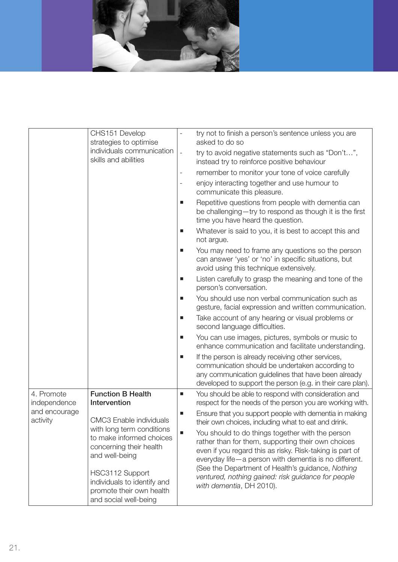

| try not to finish a person's sentence unless you are<br>try to avoid negative statements such as "Don't",                                                                                                                  |
|----------------------------------------------------------------------------------------------------------------------------------------------------------------------------------------------------------------------------|
|                                                                                                                                                                                                                            |
| instead try to reinforce positive behaviour                                                                                                                                                                                |
| remember to monitor your tone of voice carefully                                                                                                                                                                           |
| enjoy interacting together and use humour to                                                                                                                                                                               |
| Repetitive questions from people with dementia can<br>be challenging—try to respond as though it is the first                                                                                                              |
| Whatever is said to you, it is best to accept this and                                                                                                                                                                     |
| You may need to frame any questions so the person<br>can answer 'yes' or 'no' in specific situations, but                                                                                                                  |
| Listen carefully to grasp the meaning and tone of the                                                                                                                                                                      |
| You should use non verbal communication such as<br>gesture, facial expression and written communication.                                                                                                                   |
| Take account of any hearing or visual problems or                                                                                                                                                                          |
| You can use images, pictures, symbols or music to<br>enhance communication and facilitate understanding.                                                                                                                   |
| If the person is already receiving other services,<br>communication should be undertaken according to<br>any communication guidelines that have been already<br>developed to support the person (e.g. in their care plan). |
| You should be able to respond with consideration and                                                                                                                                                                       |
| respect for the needs of the person you are working with.                                                                                                                                                                  |
| Ensure that you support people with dementia in making<br>their own choices, including what to eat and drink.                                                                                                              |
| You should to do things together with the person                                                                                                                                                                           |
| rather than for them, supporting their own choices                                                                                                                                                                         |
| even if you regard this as risky. Risk-taking is part of<br>everyday life-a person with dementia is no different.                                                                                                          |
| (See the Department of Health's guidance, Nothing<br>ventured, nothing gained: risk guidance for people                                                                                                                    |
|                                                                                                                                                                                                                            |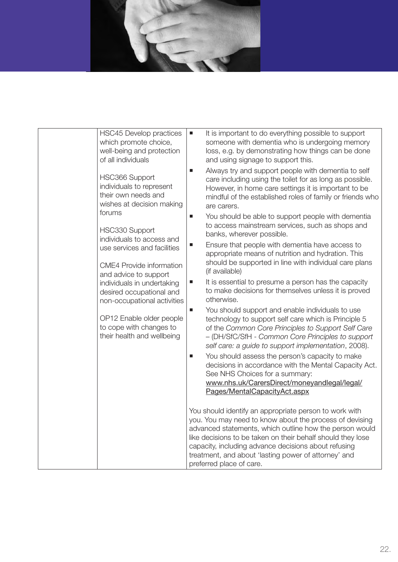

| <b>HSC45 Develop practices</b><br>which promote choice,<br>well-being and protection<br>of all individuals                                                                                                                                                                                                                                  | It is important to do everything possible to support<br>п<br>someone with dementia who is undergoing memory<br>loss, e.g. by demonstrating how things can be done<br>and using signage to support this.                                                                                                                                                                                                                                                                                                                                                                                                                                                                                                                                        |
|---------------------------------------------------------------------------------------------------------------------------------------------------------------------------------------------------------------------------------------------------------------------------------------------------------------------------------------------|------------------------------------------------------------------------------------------------------------------------------------------------------------------------------------------------------------------------------------------------------------------------------------------------------------------------------------------------------------------------------------------------------------------------------------------------------------------------------------------------------------------------------------------------------------------------------------------------------------------------------------------------------------------------------------------------------------------------------------------------|
| HSC366 Support<br>individuals to represent<br>their own needs and<br>wishes at decision making<br>forums<br>HSC330 Support<br>individuals to access and<br>use services and facilities<br><b>CME4</b> Provide information<br>and advice to support<br>individuals in undertaking<br>desired occupational and<br>non-occupational activities | Always try and support people with dementia to self<br>$\blacksquare$<br>care including using the toilet for as long as possible.<br>However, in home care settings it is important to be<br>mindful of the established roles of family or friends who<br>are carers.<br>You should be able to support people with dementia<br>п<br>to access mainstream services, such as shops and<br>banks, wherever possible.<br>Ensure that people with dementia have access to<br>п<br>appropriate means of nutrition and hydration. This<br>should be supported in line with individual care plans<br>(if available)<br>It is essential to presume a person has the capacity<br>п<br>to make decisions for themselves unless it is proved<br>otherwise. |
| OP12 Enable older people<br>to cope with changes to<br>their health and wellbeing                                                                                                                                                                                                                                                           | You should support and enable individuals to use<br>п<br>technology to support self care which is Principle 5<br>of the Common Core Principles to Support Self Care<br>- (DH/SfC/SfH - Common Core Principles to support<br>self care: a guide to support implementation, 2008).<br>You should assess the person's capacity to make<br>п<br>decisions in accordance with the Mental Capacity Act.<br>See NHS Choices for a summary:<br>www.nhs.uk/CarersDirect/moneyandlegal/legal/<br>Pages/MentalCapacityAct.aspx                                                                                                                                                                                                                            |
|                                                                                                                                                                                                                                                                                                                                             | You should identify an appropriate person to work with<br>you. You may need to know about the process of devising<br>advanced statements, which outline how the person would<br>like decisions to be taken on their behalf should they lose<br>capacity, including advance decisions about refusing<br>treatment, and about 'lasting power of attorney' and<br>preferred place of care.                                                                                                                                                                                                                                                                                                                                                        |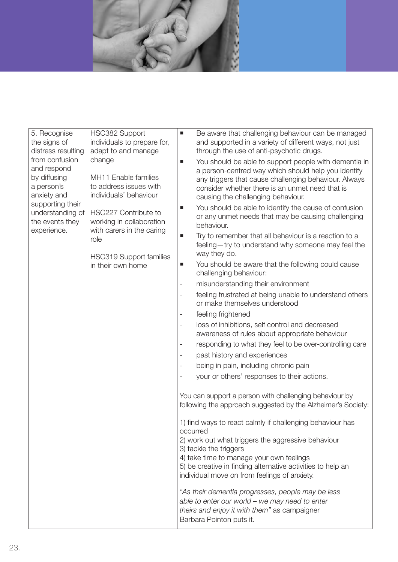

| 5. Recognise<br>the signs of<br>distress resulting<br>from confusion<br>and respond<br>by diffusing<br>a person's<br>anxiety and<br>supporting their<br>understanding of<br>the events they<br>experience. | HSC382 Support<br>individuals to prepare for,<br>adapt to and manage<br>change<br>MH11 Enable families<br>to address issues with<br>individuals' behaviour<br>HSC227 Contribute to<br>working in collaboration<br>with carers in the caring<br>role<br><b>HSC319 Support families</b><br>in their own home | п<br>п<br>ш<br>ш<br>ш<br>occurred | Be aware that challenging behaviour can be managed<br>and supported in a variety of different ways, not just<br>through the use of anti-psychotic drugs.<br>You should be able to support people with dementia in<br>a person-centred way which should help you identify<br>any triggers that cause challenging behaviour. Always<br>consider whether there is an unmet need that is<br>causing the challenging behaviour.<br>You should be able to identify the cause of confusion<br>or any unmet needs that may be causing challenging<br>behaviour.<br>Try to remember that all behaviour is a reaction to a<br>feeling-try to understand why someone may feel the<br>way they do.<br>You should be aware that the following could cause<br>challenging behaviour:<br>misunderstanding their environment<br>feeling frustrated at being unable to understand others<br>or make themselves understood<br>feeling frightened<br>loss of inhibitions, self control and decreased<br>awareness of rules about appropriate behaviour<br>responding to what they feel to be over-controlling care<br>past history and experiences<br>being in pain, including chronic pain<br>your or others' responses to their actions.<br>You can support a person with challenging behaviour by<br>following the approach suggested by the Alzheimer's Society:<br>1) find ways to react calmly if challenging behaviour has<br>2) work out what triggers the aggressive behaviour<br>3) tackle the triggers<br>4) take time to manage your own feelings<br>5) be creative in finding alternative activities to help an<br>individual move on from feelings of anxiety.<br>"As their dementia progresses, people may be less<br>able to enter our world - we may need to enter<br>theirs and enjoy it with them" as campaigner<br>Barbara Pointon puts it. |
|------------------------------------------------------------------------------------------------------------------------------------------------------------------------------------------------------------|------------------------------------------------------------------------------------------------------------------------------------------------------------------------------------------------------------------------------------------------------------------------------------------------------------|-----------------------------------|----------------------------------------------------------------------------------------------------------------------------------------------------------------------------------------------------------------------------------------------------------------------------------------------------------------------------------------------------------------------------------------------------------------------------------------------------------------------------------------------------------------------------------------------------------------------------------------------------------------------------------------------------------------------------------------------------------------------------------------------------------------------------------------------------------------------------------------------------------------------------------------------------------------------------------------------------------------------------------------------------------------------------------------------------------------------------------------------------------------------------------------------------------------------------------------------------------------------------------------------------------------------------------------------------------------------------------------------------------------------------------------------------------------------------------------------------------------------------------------------------------------------------------------------------------------------------------------------------------------------------------------------------------------------------------------------------------------------------------------------------------------------------------------------------------------------------------------------|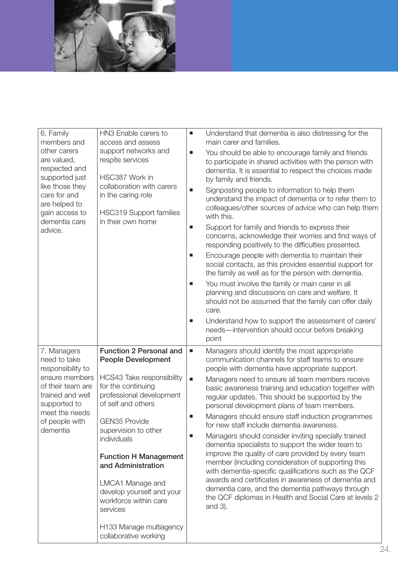

| 6. Family<br>members and<br>other carers<br>are valued,<br>respected and<br>supported just<br>like those they<br>care for and<br>are helped to<br>gain access to<br>dementia care<br>advice. | HN3 Enable carers to<br>access and assess<br>support networks and<br>respite services<br>HSC387 Work in<br>collaboration with carers<br>in the caring role<br><b>HSC319 Support families</b><br>in their own home                                                                                                                                                                                                               | Understand that dementia is also distressing for the<br>ш<br>main carer and families.<br>You should be able to encourage family and friends<br>ш<br>to participate in shared activities with the person with<br>dementia. It is essential to respect the choices made<br>by family and friends.<br>Signposting people to information to help them<br>$\blacksquare$<br>understand the impact of dementia or to refer them to<br>colleagues/other sources of advice who can help them<br>with this.<br>Support for family and friends to express their<br>ш<br>concerns, acknowledge their worries and find ways of<br>responding positively to the difficulties presented.<br>Encourage people with dementia to maintain their<br>п<br>social contacts, as this provides essential support for<br>the family as well as for the person with dementia.<br>You must involve the family or main carer in all<br>п<br>planning and discussions on care and welfare. It<br>should not be assumed that the family can offer daily<br>care.<br>Understand how to support the assessment of carers'<br>п<br>needs-intervention should occur before breaking<br>point |
|----------------------------------------------------------------------------------------------------------------------------------------------------------------------------------------------|---------------------------------------------------------------------------------------------------------------------------------------------------------------------------------------------------------------------------------------------------------------------------------------------------------------------------------------------------------------------------------------------------------------------------------|--------------------------------------------------------------------------------------------------------------------------------------------------------------------------------------------------------------------------------------------------------------------------------------------------------------------------------------------------------------------------------------------------------------------------------------------------------------------------------------------------------------------------------------------------------------------------------------------------------------------------------------------------------------------------------------------------------------------------------------------------------------------------------------------------------------------------------------------------------------------------------------------------------------------------------------------------------------------------------------------------------------------------------------------------------------------------------------------------------------------------------------------------------------|
| 7. Managers<br>need to take<br>responsibility to<br>ensure members<br>of their team are<br>trained and well<br>supported to<br>meet the needs<br>of people with<br>dementia                  | <b>Function 2 Personal and</b><br><b>People Development</b><br>HCS43 Take responsibility<br>for the continuing<br>professional development<br>of self and others<br><b>GEN35 Provide</b><br>supervision to other<br>individuals<br><b>Function H Management</b><br>and Administration<br>LMCA1 Manage and<br>develop yourself and your<br>workforce within care<br>services<br>H133 Manage multiagency<br>collaborative working | Managers should identify the most appropriate<br>ш<br>communication channels for staff teams to ensure<br>people with dementia have appropriate support.<br>Managers need to ensure all team members receive<br>п<br>basic awareness training and education together with<br>regular updates. This should be supported by the<br>personal development plans of team members.<br>Managers should ensure staff induction programmes<br>ш<br>for new staff include dementia awareness.<br>Managers should consider inviting specially trained<br>ш<br>dementia specialists to support the wider team to<br>improve the quality of care provided by every team<br>member (including consideration of supporting this<br>with dementia-specific qualifications such as the QCF<br>awards and certificates in awareness of dementia and<br>dementia care, and the dementia pathways through<br>the QCF diplomas in Health and Social Care at levels 2<br>and $3$ ).                                                                                                                                                                                                |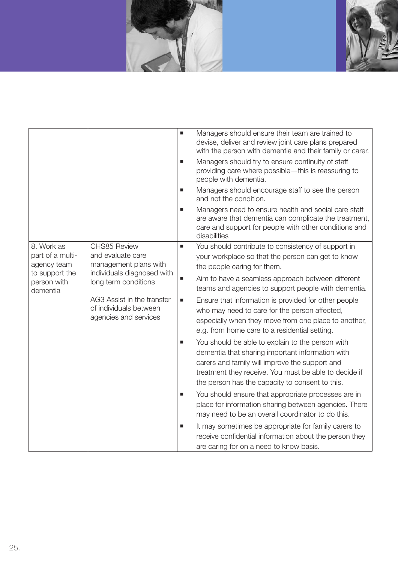



|                                               |                                                                               | ٠ | Managers should ensure their team are trained to<br>devise, deliver and review joint care plans prepared<br>with the person with dementia and their family or carer.                                                                                               |
|-----------------------------------------------|-------------------------------------------------------------------------------|---|--------------------------------------------------------------------------------------------------------------------------------------------------------------------------------------------------------------------------------------------------------------------|
|                                               |                                                                               | ш | Managers should try to ensure continuity of staff<br>providing care where possible-this is reassuring to<br>people with dementia.                                                                                                                                  |
|                                               |                                                                               | п | Managers should encourage staff to see the person<br>and not the condition.                                                                                                                                                                                        |
|                                               |                                                                               | п | Managers need to ensure health and social care staff<br>are aware that dementia can complicate the treatment,<br>care and support for people with other conditions and<br>disabilities                                                                             |
| 8. Work as<br>part of a multi-<br>agency team | CHS85 Review<br>and evaluate care<br>management plans with                    | п | You should contribute to consistency of support in<br>your workplace so that the person can get to know<br>the people caring for them.                                                                                                                             |
| to support the<br>person with<br>dementia     | individuals diagnosed with<br>long term conditions                            | п | Aim to have a seamless approach between different<br>teams and agencies to support people with dementia.                                                                                                                                                           |
|                                               | AG3 Assist in the transfer<br>of individuals between<br>agencies and services | ш | Ensure that information is provided for other people<br>who may need to care for the person affected,<br>especially when they move from one place to another,<br>e.g. from home care to a residential setting.                                                     |
|                                               |                                                                               | ш | You should be able to explain to the person with<br>dementia that sharing important information with<br>carers and family will improve the support and<br>treatment they receive. You must be able to decide if<br>the person has the capacity to consent to this. |
|                                               |                                                                               | ш | You should ensure that appropriate processes are in<br>place for information sharing between agencies. There<br>may need to be an overall coordinator to do this.                                                                                                  |
|                                               |                                                                               |   | It may sometimes be appropriate for family carers to<br>receive confidential information about the person they<br>are caring for on a need to know basis.                                                                                                          |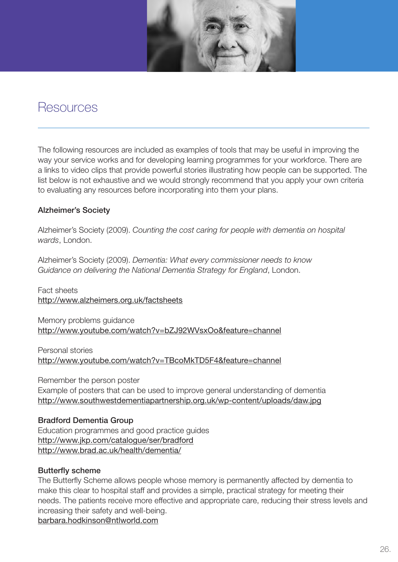

# **Resources**

The following resources are included as examples of tools that may be useful in improving the way your service works and for developing learning programmes for your workforce. There are a links to video clips that provide powerful stories illustrating how people can be supported. The list below is not exhaustive and we would strongly recommend that you apply your own criteria to evaluating any resources before incorporating into them your plans.

### Alzheimer's Society

Alzheimer's Society (2009). *Counting the cost caring for people with dementia on hospital wards*, London.

Alzheimer's Society (2009). *Dementia: What every commissioner needs to know Guidance on delivering the National Dementia Strategy for England*, London.

Fact sheets http://www.alzheimers.org.uk/factsheets

Memory problems guidance http://www.youtube.com/watch?v=bZJ92WVsxOo&feature=channel

Personal stories http://www.youtube.com/watch?v=TBcoMkTD5F4&feature=channel

Remember the person poster Example of posters that can be used to improve general understanding of dementia http://www.southwestdementiapartnership.org.uk/wp-content/uploads/daw.jpg

### Bradford Dementia Group

Education programmes and good practice guides http://www.jkp.com/catalogue/ser/bradford http://www.brad.ac.uk/health/dementia/

### Butterfly scheme

The Butterfly Scheme allows people whose memory is permanently affected by dementia to make this clear to hospital staff and provides a simple, practical strategy for meeting their needs. The patients receive more effective and appropriate care, reducing their stress levels and increasing their safety and well-being.

barbara.hodkinson@ntlworld.com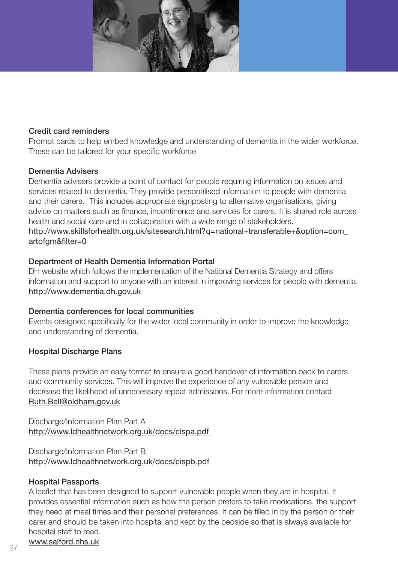

### Credit card reminders

Prompt cards to help embed knowledge and understanding of dementia in the wider workforce. These can be tailored for your specific workforce

### Dementia Advisers

Dementia advisers provide a point of contact for people requiring information on issues and services related to dementia. They provide personalised information to people with dementia and their carers. This includes appropriate signposting to alternative organisations, giving advice on matters such as finance, incontinence and services for carers. It is shared role across health and social care and in collaboration with a wide range of stakeholders. http://www.skillsforhealth.org.uk/sitesearch.html?q=national+transferable+&option=com\_ artofgm&filter=0

### Department of Health Dementia Information Portal

DH website which follows the implementation of the National Dementia Strategy and offers information and support to anyone with an interest in improving services for people with dementia. http://www.dementia.dh.gov.uk

### Dementia conferences for local communities

Events designed specifically for the wider local community in order to improve the knowledge and understanding of dementia.

### Hospital Discharge Plans

These plans provide an easy format to ensure a good handover of information back to carers and community services. This will improve the experience of any vulnerable person and decrease the likelihood of unnecessary repeat admissions. For more information contact Ruth.Bell@oldham.gov.uk

Discharge/Information Plan Part A http://www.ldhealthnetwork.org.uk/docs/cispa.pdf

Discharge/Information Plan Part B http://www.ldhealthnetwork.org.uk/docs/cispb.pdf

### Hospital Passports

A leaflet that has been designed to support vulnerable people when they are in hospital. It provides essential information such as how the person prefers to take medications, the support they need at meal times and their personal preferences. It can be filled in by the person or their carer and should be taken into hospital and kept by the bedside so that is always available for hospital staff to read.

www.salford.nhs.uk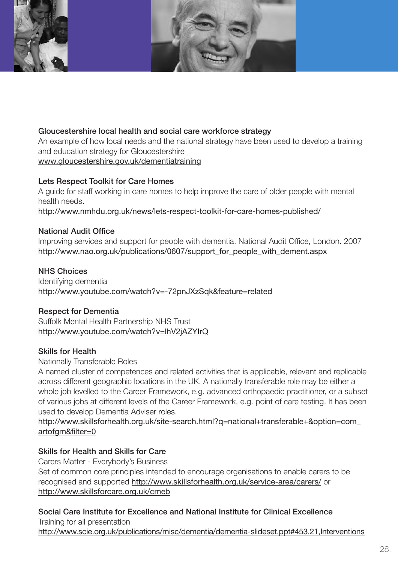

### Gloucestershire local health and social care workforce strategy

An example of how local needs and the national strategy have been used to develop a training and education strategy for Gloucestershire www.gloucestershire.gov.uk/dementiatraining

### Lets Respect Toolkit for Care Homes

A guide for staff working in care homes to help improve the care of older people with mental health needs.

http://www.nmhdu.org.uk/news/lets-respect-toolkit-for-care-homes-published/

### National Audit Office

Improving services and support for people with dementia. National Audit Office, London. 2007 http://www.nao.org.uk/publications/0607/support\_for\_people\_with\_dement.aspx

### NHS Choices

Identifying dementia http://www.youtube.com/watch?v=-72pnJXzSqk&feature=related

### Respect for Dementia

Suffolk Mental Health Partnership NHS Trust http://www.youtube.com/watch?v=lhV2jAZYIrQ

### Skills for Health

Nationally Transferable Roles

A named cluster of competences and related activities that is applicable, relevant and replicable across different geographic locations in the UK. A nationally transferable role may be either a whole job levelled to the Career Framework, e.g. advanced orthopaedic practitioner, or a subset of various jobs at different levels of the Career Framework, e.g. point of care testing. It has been used to develop Dementia Adviser roles.

http://www.skillsforhealth.org.uk/site-search.html?q=national+transferable+&option=com artofgm&filter=0

### Skills for Health and Skills for Care

Carers Matter - Everybody's Business Set of common core principles intended to encourage organisations to enable carers to be recognised and supported http://www.skillsforhealth.org.uk/service-area/carers/ or http://www.skillsforcare.org.uk/cmeb

Social Care Institute for Excellence and National Institute for Clinical Excellence Training for all presentation http://www.scie.org.uk/publications/misc/dementia/dementia-slideset.ppt#453,21,Interventions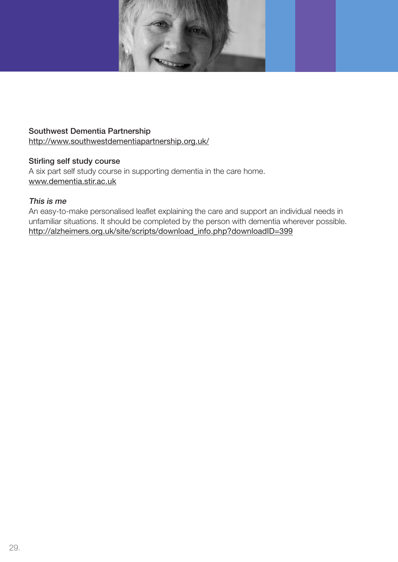

### Southwest Dementia Partnership

http://www.southwestdementiapartnership.org.uk/

### Stirling self study course

A six part self study course in supporting dementia in the care home. www.dementia.stir.ac.uk

### This is me

An easy-to-make personalised leaflet explaining the care and support an individual needs in unfamiliar situations. It should be completed by the person with dementia wherever possible. http://alzheimers.org.uk/site/scripts/download\_info.php?downloadID=399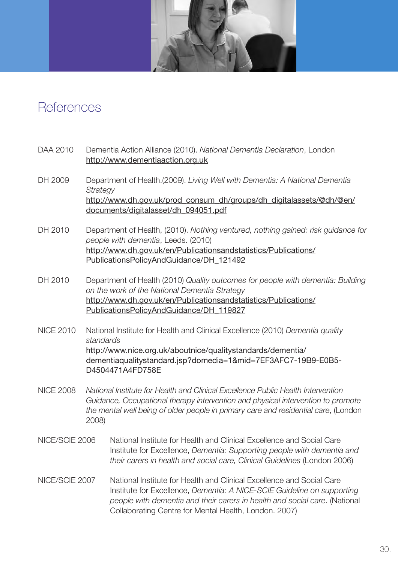

# References

- DAA 2010 Dementia Action Alliance (2010). *National Dementia Declaration*, London http://www.dementiaaction.org.uk
- DH 2009 Department of Health.(2009). *Living Well with Dementia: A National Dementia Strategy*  http://www.dh.gov.uk/prod\_consum\_dh/groups/dh\_digitalassets/@dh/@en/ documents/digitalasset/dh\_094051.pdf
- DH 2010 Department of Health, (2010). *Nothing ventured, nothing gained: risk guidance for people with dementia*, Leeds. (2010) http://www.dh.gov.uk/en/Publicationsandstatistics/Publications/ PublicationsPolicyAndGuidance/DH\_121492
- DH 2010 Department of Health (2010) *Quality outcomes for people with dementia: Building on the work of the National Dementia Strategy* http://www.dh.gov.uk/en/Publicationsandstatistics/Publications/ PublicationsPolicyAndGuidance/DH\_119827
- NICE 2010 National Institute for Health and Clinical Excellence (2010) *Dementia quality standards* http://www.nice.org.uk/aboutnice/qualitystandards/dementia/ dementiaqualitystandard.jsp?domedia=1&mid=7EF3AFC7-19B9-E0B5- D4504471A4FD758E
- NICE 2008 *National Institute for Health and Clinical Excellence Public Health Intervention Guidance, Occupational therapy intervention and physical intervention to promote the mental well being of older people in primary care and residential care*, (London 2008)
- NICE/SCIE 2006 National Institute for Health and Clinical Excellence and Social Care Institute for Excellence, *Dementia: Supporting people with dementia and their carers in health and social care, Clinical Guidelines* (London 2006)
- NICE/SCIE 2007 National Institute for Health and Clinical Excellence and Social Care Institute for Excellence, *Dementia: A NICE-SCIE Guideline on supporting people with dementia and their carers in health and social care*. (National Collaborating Centre for Mental Health, London. 2007)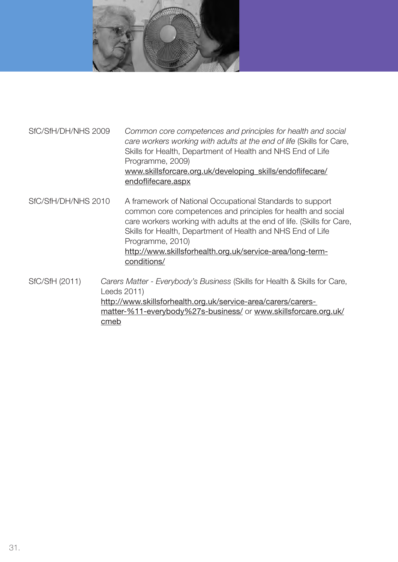

SfC/SfH/DH/NHS 2009 *Common core competences and principles for health and social care workers working with adults at the end of life* (Skills for Care, Skills for Health, Department of Health and NHS End of Life Programme, 2009) www.skillsforcare.org.uk/developing\_skills/endoflifecare/ endoflifecare.aspx

SfC/SfH/DH/NHS 2010 A framework of National Occupational Standards to support common core competences and principles for health and social care workers working with adults at the end of life. (Skills for Care, Skills for Health, Department of Health and NHS End of Life Programme, 2010) http://www.skillsforhealth.org.uk/service-area/long-term conditions/

SfC/SfH (2011) *Carers Matter - Everybody's Business* (Skills for Health & Skills for Care, Leeds 2011) http://www.skillsforhealth.org.uk/service-area/carers/carers matter-%11-everybody%27s-business/ or www.skillsforcare.org.uk/ cmeb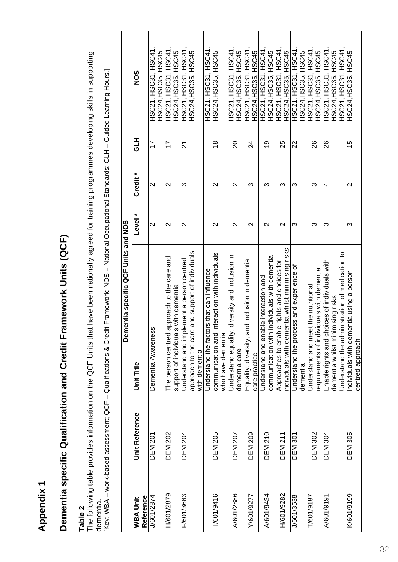**Appendix 1 Appendix 1** 

# **Dementia specific Qualification and Credit Framework Units (QCF)**  Dementia specific Qualification and Credit Framework Units (QCF)

# Table 2 **Table 2**

The following table provides information on the QCF Units that have been nationally agreed for training programmes developing skills in supporting The following table provides information on the QCF Units that have been nationally agreed for training programmes developing skills in supporting dementia.<br>[Key: WBA – work-based assessment; QCF – Qualifications & Credit Framework; NOS – National Occupational Standards; GLH – Guided Learning Hours.] [Key: WBA – work-based assesssesse assesses as sessesses as credit Framework; NOS & Credit Framework; GLF – QCF – QUaliticational Standard Learning Hours.] dementia.

|                              |                       | Dementia specific QCF Units and NOS                                                                                 |                    |                     |                |                                             |
|------------------------------|-----------------------|---------------------------------------------------------------------------------------------------------------------|--------------------|---------------------|----------------|---------------------------------------------|
| Reference<br><b>WBA Unit</b> | <b>Unit Reference</b> | <b>Unit Title</b>                                                                                                   | Level*             | Credit <sup>*</sup> | HIS            | <b>SON</b>                                  |
| J/601/2874                   | <b>DEM 201</b>        | S<br>Dementia Awarenes                                                                                              | $\mathbf{\Omega}$  | $\mathbf{\Omega}$   | 17             | HSC24,HSC35, HSC45<br>HSC21, HSC31, HSC4    |
| H/601/2879                   | <b>DEM 202</b>        | approach to the care and<br>s with dementia<br>The person centred<br>support of individual                          | $\mathbf{\Omega}$  | $\mathbf{\Omega}$   | 17             | HSC21, HSC31, HSC41<br>HSC24, HSC35, HSC45  |
| F/601/3683                   | <b>DEM 204</b>        | approach to the care and support of individuals<br>Understand and implement a person centred<br>with dementia       | $\mathbf{\Omega}$  | ω                   | 21             | HSC21, HSC31, HSC41<br>HSC24, HSC35, HSC45  |
| T/601/9416                   | <b>DEM 205</b>        | interaction with individuals<br>Understand the factors that can influence<br>communication and<br>who have dementia | $\mathsf{\alpha}$  | $\mathbf{\Omega}$   | $\frac{8}{1}$  | HSC21, HSC31, HSC41<br>HSC24, HSC35, HSC45  |
| A/601/2886                   | <b>DEM 207</b>        | Understand equality, diversity and inclusion in<br>dementia care                                                    | $\mathsf{\sim}$    | $\sim$              | 20             | HSC21, HSC31, HSC41<br>HSC24,HSC35, HSC45   |
| Y/601/9277                   | <b>DEM 209</b>        | Equality, diversity, and inclusion in dementia<br>care practice                                                     | $\scriptstyle\sim$ | ო                   | 24             | HSC21, HSC31, HSC41,<br>HSC24,HSC35, HSC45  |
| A/601/9434                   | <b>DEM 210</b>        | communication with individuals with dementia<br>Understand and enable interaction and                               | $\scriptstyle\sim$ | ო                   | $\overline{6}$ | HSC21, HSC31, HSC41<br>HSC24, HSC35, HSC45  |
| H/601/9282                   | <b>DEM 211</b>        | individuals with dementia whilst minimising risks<br>le rights and choices for<br>Approaches to enab                | $\mathbf \sim$     | ო                   | 25             | HSC21, HSC31, HSC41,<br>HSC24, HSC35, HSC45 |
| J/601/3538                   | <b>DEM 301</b>        | Understand the process and experience of<br>dementia                                                                | ო                  | ო                   | 22             | HSC21, HSC31, HSC41,<br>HSC24, HSC35, HSC45 |
| T/601/9187                   | <b>DEM 302</b>        | requirements of individuals with dementia<br>Understand and meet the nutritional                                    | ო                  | ო                   | 82             | HSC21, HSC31, HSC41,<br>HSC24, HSC35, HSC45 |
| A/601/9191                   | <b>DEM 304</b>        | Enable rights and choices of individuals with<br>dementia whilst minimising risks                                   | ო                  | 4                   | 26             | HSC21, HSC31, HSC41<br>HSC24, HSC35, HSC45  |
| K/601/9199                   | <b>DEM 305</b>        | Understand the administration of medication to<br>individuals with dementia using a person<br>centred approach      | ω                  | $\mathbf{\Omega}$   | 15             | HSC21, HSC31, HSC41<br>HSC24,HSC35, HSC45   |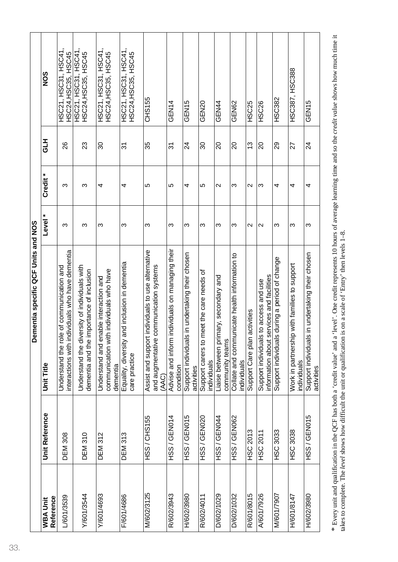|                       |                       | Dementia specific QCF Units and NOS                                                                      |                   |                 |                |                                            |
|-----------------------|-----------------------|----------------------------------------------------------------------------------------------------------|-------------------|-----------------|----------------|--------------------------------------------|
| Reference<br>WBA Unit | <b>Unit Reference</b> | <b>Unit Title</b>                                                                                        | Level *           | Credit*         | 그리             | NO <sub>S</sub>                            |
| L/601/3539            | <b>DEM 308</b>        | interactions with individuals who have dementia<br>of communication and<br>Understand the role           | ო                 | ო               | 88             | HSC21, HSC31, HSC41<br>HSC24, HSC35, HSC45 |
| Y/601/3544            | <b>DEM 310</b>        | Understand the diversity of individuals with<br>dementia and the importance of inclusion                 | ო                 | က               | 23             | HSC21, HSC31, HSC41<br>HSC24, HSC35, HSC45 |
| Y/601/4693            | <b>DEM 312</b>        | individuals who have<br>Understand and enable interaction and<br>communication with<br>dementia          | ო                 | 4               | ೫              | HSC21, HSC31, HSC41<br>HSC24, HSC35, HSC45 |
| F/601/4686            | <b>DEM 313</b>        | Equality, diversity and inclusion in dementia<br>care practice                                           | ო                 | 4               | $\overline{5}$ | HSC21, HSC31, HSC41<br>HSC24, HSC35, HSC45 |
| M/602/3125            | HSS/CHS155            | dividuals to use alternative<br>and augmentative communication systems<br>Assist and support in<br>(AAC) | က                 | 5               | 35             | CHS155                                     |
| R/602/3943            | <b>HSS/GEN014</b>     | Advise and inform individuals on managing their<br>condition                                             | ω                 | 5               | $\overline{5}$ | GEN14                                      |
| H/602/3980            | HSS/GEN015            | Support individuals in undertaking their chosen<br>activities                                            | Ω                 | 4               | 24             | GEN <sub>15</sub>                          |
| R/602/4011            | HSS/GEN020            | et the care needs of<br>Support carers to me<br>individuals                                              | ო                 | 5               | 30             | GEN20                                      |
| D/602/1029            | <b>HSS/GEN044</b>     | Liaise between primary, secondary and<br>community teams                                                 | ო                 | $\mathbf{\sim}$ | $\overline{c}$ | GEN44                                      |
| D/602/1032            | <b>FISS / GEN062</b>  | Collate and communicate health information to<br>individuals                                             | S                 | S               | $\overline{c}$ | GEN62                                      |
| R/601/8015            | HSC 2013              | Support Care plan activities                                                                             | $\mathbf{\Omega}$ | $\sim$          | 13             | <b>HSC25</b>                               |
| A/601/7926            | HSC 2011              | information about services and facilities<br>Support individuals to access and use                       | $\mathbf{\Omega}$ | က               | 20             | HSC26                                      |
| M/601/7907            | HSC 3033              | Support individuals algorator of change                                                                  | ო                 | 4               | 29             | HSC382                                     |
| H/601/8147            | HSC 3038              | with families to support<br>Work in partnership<br>individuals                                           | ო                 | 4               | 27             | HSC387, HSC388                             |
| H/602/3980            | HSS/GEN015            | Support individuals in undertaking their chosen<br>activities                                            | က                 | 4               | 24             | GEN <sub>15</sub>                          |

\* Every unit and qualification in the QCF has both a 'credit value' and a 'level'. One credit represents 10 hours of average learning time and so the *credit value* shows how much time it takes to complete. The *level* sho Every unit and qualification in the QCF has both a 'credit value' and a 'level'. One credit represents 10 hours of average learning time and so the *credit value* shows how much time it takes to complete. The *level* shows how difficult the unit or qualification is on a scale of 'Entry' then levels 1–8.